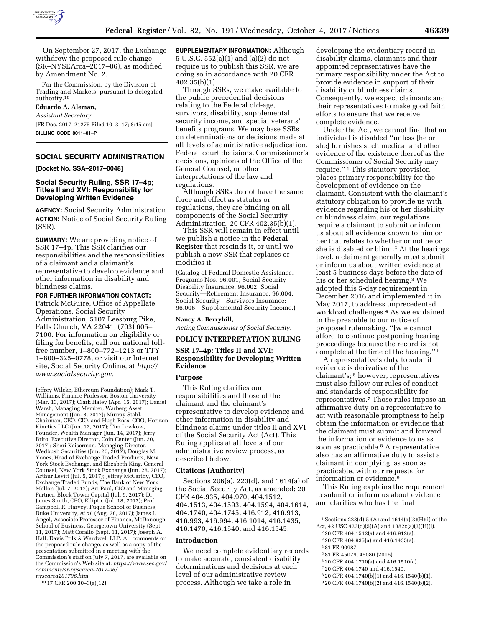

On September 27, 2017, the Exchange withdrew the proposed rule change (SR–NYSEArca–2017–06), as modified by Amendment No. 2.

For the Commission, by the Division of Trading and Markets, pursuant to delegated authority.10

### **Eduardo A. Aleman,**

*Assistant Secretary.*  [FR Doc. 2017–21275 Filed 10–3–17; 8:45 am] **BILLING CODE 8011–01–P** 

# **SOCIAL SECURITY ADMINISTRATION**

**[Docket No. SSA–2017–0048]** 

## **Social Security Ruling, SSR 17–4p; Titles II and XVI: Responsibility for Developing Written Evidence**

**AGENCY:** Social Security Administration. **ACTION:** Notice of Social Security Ruling (SSR).

**SUMMARY:** We are providing notice of SSR 17–4p. This SSR clarifies our responsibilities and the responsibilities of a claimant and a claimant's representative to develop evidence and other information in disability and blindness claims.

### **FOR FURTHER INFORMATION CONTACT:**

Patrick McGuire, Office of Appellate Operations, Social Security Administration, 5107 Leesburg Pike, Falls Church, VA 22041, (703) 605– 7100. For information on eligibility or filing for benefits, call our national tollfree number, 1–800–772–1213 or TTY 1–800–325–0778, or visit our Internet site, Social Security Online, at *[http://](http://www.socialsecurity.gov) [www.socialsecurity.gov.](http://www.socialsecurity.gov)* 

10 17 CFR 200.30–3(a)(12).

**SUPPLEMENTARY INFORMATION:** Although 5 U.S.C. 552(a)(1) and (a)(2) do not require us to publish this SSR, we are doing so in accordance with 20 CFR 402.35(b)(1).

Through SSRs, we make available to the public precedential decisions relating to the Federal old-age, survivors, disability, supplemental security income, and special veterans' benefits programs. We may base SSRs on determinations or decisions made at all levels of administrative adjudication, Federal court decisions, Commissioner's decisions, opinions of the Office of the General Counsel, or other interpretations of the law and regulations.

Although SSRs do not have the same force and effect as statutes or regulations, they are binding on all components of the Social Security Administration. 20 CFR 402.35(b)(1).

This SSR will remain in effect until we publish a notice in the **Federal Register** that rescinds it, or until we publish a new SSR that replaces or modifies it.

(Catalog of Federal Domestic Assistance, Programs Nos. 96.001, Social Security— Disability Insurance; 96.002, Social Security—Retirement Insurance; 96.004, Social Security—Survivors Insurance; 96.006—Supplemental Security Income.)

### **Nancy A. Berryhill,**

*Acting Commissioner of Social Security.* 

### **POLICY INTERPRETATION RULING**

# **SSR 17–4p: Titles II and XVI: Responsibility for Developing Written Evidence**

## **Purpose**

This Ruling clarifies our responsibilities and those of the claimant and the claimant's representative to develop evidence and other information in disability and blindness claims under titles II and XVI of the Social Security Act (Act). This Ruling applies at all levels of our administrative review process, as described below.

#### **Citations (Authority)**

Sections 206(a), 223(d), and 1614(a) of the Social Security Act, as amended; 20 CFR 404.935, 404.970, 404.1512, 404.1513, 404.1593, 404.1594, 404.1614, 404.1740, 404.1745, 416.912, 416.913, 416.993, 416.994, 416.1014, 416.1435, 416.1470, 416.1540, and 416.1545.

#### **Introduction**

We need complete evidentiary records to make accurate, consistent disability determinations and decisions at each level of our administrative review process. Although we take a role in

developing the evidentiary record in disability claims, claimants and their appointed representatives have the primary responsibility under the Act to provide evidence in support of their disability or blindness claims. Consequently, we expect claimants and their representatives to make good faith efforts to ensure that we receive complete evidence.

Under the Act, we cannot find that an individual is disabled ''unless [he or she] furnishes such medical and other evidence of the existence thereof as the Commissioner of Social Security may require.'' 1 This statutory provision places primary responsibility for the development of evidence on the claimant. Consistent with the claimant's statutory obligation to provide us with evidence regarding his or her disability or blindness claim, our regulations require a claimant to submit or inform us about all evidence known to him or her that relates to whether or not he or she is disabled or blind.2 At the hearings level, a claimant generally must submit or inform us about written evidence at least 5 business days before the date of his or her scheduled hearing.3 We adopted this 5-day requirement in December 2016 and implemented it in May 2017, to address unprecedented workload challenges.4 As we explained in the preamble to our notice of proposed rulemaking, ''[w]e cannot afford to continue postponing hearing proceedings because the record is not complete at the time of the hearing.'' 5

A representative's duty to submit evidence is derivative of the claimant's; 6 however, representatives must also follow our rules of conduct and standards of responsibility for representatives.7 Those rules impose an affirmative duty on a representative to act with reasonable promptness to help obtain the information or evidence that the claimant must submit and forward the information or evidence to us as soon as practicable.8 A representative also has an affirmative duty to assist a claimant in complying, as soon as practicable, with our requests for information or evidence.9

This Ruling explains the requirement to submit or inform us about evidence and clarifies who has the final

- 2 20 CFR 404.1512(a) and 416.912(a).
- 3 20 CFR 404.935(a) and 416.1435(a).

- 5 81 FR 45079, 45080 (2016).
- 6 20 CFR 404.1710(a) and 416.1510(a).
- 7 20 CFR 404.1740 and 416.1540.
- 8 20 CFR 404.1740(b)(1) and 416.1540(b)(1).
- 9 20 CFR 404.1740(b)(2) and 416.1540(b)(2).

Jeffrey Wilcke, Ethereum Foundation); Mark T. Williams, Finance Professor, Boston University (Mar. 13, 2017); Clark Haley (Apr. 15, 2017); Daniel Warsh, Managing Member, Warberg Asset Management (Jun. 8, 2017); Murray Stahl, Chairman, CEO, CIO, and Hugh Ross, COO, Horizon Kinetics LLC (Jun. 12, 2017); Tim Lewkow, Founder, Wealth Manager (Jun. 14, 2017); Jerry Brito, Executive Director, Coin Center (Jun. 20, 2017); Sheri Kaiserman, Managing Director, Wedbush Securities (Jun. 20, 2017); Douglas M. Yones, Head of Exchange Traded Products, New York Stock Exchange, and Elizabeth King, General Counsel, New York Stock Exchange (Jun. 28, 2017); Arthur Levitt (Jul. 5, 2017); Jeffrey McCarthy, CEO, Exchange Traded Funds, The Bank of New York Mellon (Jul. 7, 2017); Ari Paul, CIO and Managing Partner, Block Tower Capital (Jul. 9, 2017); Dr. James Smith, CEO, Elliptic (Jul. 18, 2017); Prof. Campbell R. Harvey, Fuqua School of Business, Duke University, *et al.* (Aug. 28, 2017); James J. Angel, Associate Professor of Finance, McDonough School of Business, Georgetown University (Sept. 11, 2017); Matt Corallo (Sept. 11, 2017); Joseph A. Hall, Davis Polk & Wardwell LLP. All comments on the proposed rule change, as well as a copy of the presentation submitted in a meeting with the Commission's staff on July 7, 2017, are available on the Commission's Web site at: *[https://www.sec.gov/](https://www.sec.gov/comments/sr-nysearca-2017-06/nysearca201706.htm)  [comments/sr-nysearca-2017-06/](https://www.sec.gov/comments/sr-nysearca-2017-06/nysearca201706.htm) [nysearca201706.htm.](https://www.sec.gov/comments/sr-nysearca-2017-06/nysearca201706.htm)* 

 $^1$  Sections 223(d)(5)(A) and 1614(a)(3)(H)(i) of the Act, 42 USC 423(d)(5)(A) and 1382c(a)(3)(H)(i).

<sup>4</sup> 81 FR 90987.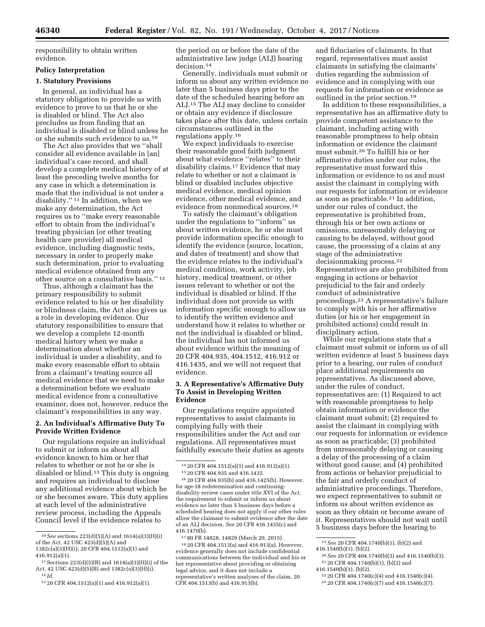responsibility to obtain written evidence.

## **Policy Interpretation**

### **1. Statutory Provisions**

In general, an individual has a statutory obligation to provide us with evidence to prove to us that he or she is disabled or blind. The Act also precludes us from finding that an individual is disabled or blind unless he or she submits such evidence to us.10

The Act also provides that we ''shall consider all evidence available in [an] individual's case record, and shall develop a complete medical history of at least the preceding twelve months for any case in which a determination is made that the individual is not under a disability.'' 11 In addition, when we make any determination, the Act requires us to ''make every reasonable effort to obtain from the individual's treating physician (or other treating health care provider) all medical evidence, including diagnostic tests, necessary in order to properly make such determination, prior to evaluating medical evidence obtained from any other source on a consultative basis.'' 12

Thus, although a claimant has the primary responsibility to submit evidence related to his or her disability or blindness claim, the Act also gives us a role in developing evidence. Our statutory responsibilities to ensure that we develop a complete 12-month medical history when we make a determination about whether an individual is under a disability, and to make every reasonable effort to obtain from a claimant's treating source all medical evidence that we need to make a determination before we evaluate medical evidence from a consultative examiner, does not, however, reduce the claimant's responsibilities in any way.

## **2. An Individual's Affirmative Duty To Provide Written Evidence**

Our regulations require an individual to submit or inform us about all evidence known to him or her that relates to whether or not he or she is disabled or blind.13 This duty is ongoing and requires an individual to disclose any additional evidence about which he or she becomes aware. This duty applies at each level of the administrative review process, including the Appeals Council level if the evidence relates to

416.912(a)(1).  $11$  Sections  $223(d)(5)(B)$  and  $1614(a)(3)(H)(i)$  of the the period on or before the date of the administrative law judge (ALJ) hearing decision.14

Generally, individuals must submit or inform us about any written evidence no later than 5 business days prior to the date of the scheduled hearing before an ALJ.15 The ALJ may decline to consider or obtain any evidence if disclosure takes place after this date, unless certain circumstances outlined in the regulations apply.16

We expect individuals to exercise their reasonable good faith judgment about what evidence ''relates'' to their disability claims.17 Evidence that may relate to whether or not a claimant is blind or disabled includes objective medical evidence, medical opinion evidence, other medical evidence, and evidence from nonmedical sources.18

To satisfy the claimant's obligation under the regulations to ''inform'' us about written evidence, he or she must provide information specific enough to identify the evidence (source, location, and dates of treatment) and show that the evidence relates to the individual's medical condition, work activity, job history, medical treatment, or other issues relevant to whether or not the individual is disabled or blind. If the individual does not provide us with information specific enough to allow us to identify the written evidence and understand how it relates to whether or not the individual is disabled or blind, the individual has not informed us about evidence within the meaning of 20 CFR 404.935, 404.1512, 416.912 or 416.1435, and we will not request that evidence.

### **3. A Representative's Affirmative Duty To Assist in Developing Written Evidence**

Our regulations require appointed representatives to assist claimants in complying fully with their responsibilities under the Act and our regulations. All representatives must faithfully execute their duties as agents

16 20 CFR 404.935(b) and 416.1425(b). However, for age-18 redetermination and continuingdisability review cases under title XVI of the Act, the requirement to submit or inform us about evidence no later than 5 business days before a scheduled hearing does not apply if our other rules allow the claimant to submit evidence after the date of an ALJ decision. *See* 20 CFR 416.1435(c) and 416.1470(b).

17 80 FR 14828, 14829 (March 20, 2015).

18 20 CFR 404.1513(a) and 416.913(a). However, evidence generally does not include confidential communications between the individual and his or her representative about providing or obtaining legal advice, and it does not include a representative's written analyses of the claim. 20 CFR 404.1513(b) and 416.913(b).

and fiduciaries of claimants. In that regard, representatives must assist claimants in satisfying the claimants' duties regarding the submission of evidence and in complying with our requests for information or evidence as outlined in the prior section.19

In addition to these responsibilities, a representative has an affirmative duty to provide competent assistance to the claimant, including acting with reasonable promptness to help obtain information or evidence the claimant must submit.20 To fulfill his or her affirmative duties under our rules, the representative must forward this information or evidence to us and must assist the claimant in complying with our requests for information or evidence as soon as practicable.21 In addition, under our rules of conduct, the representative is prohibited from, through his or her own actions or omissions, unreasonably delaying or causing to be delayed, without good cause, the processing of a claim at any stage of the administrative decisionmaking process.<sup>22</sup> Representatives are also prohibited from engaging in actions or behavior prejudicial to the fair and orderly conduct of administrative proceedings.23 A representative's failure to comply with his or her affirmative duties (or his or her engagement in prohibited actions) could result in disciplinary action.

While our regulations state that a claimant must submit or inform us of all written evidence at least 5 business days prior to a hearing, our rules of conduct place additional requirements on representatives. As discussed above, under the rules of conduct, representatives are: (1) Required to act with reasonable promptness to help obtain information or evidence the claimant must submit; (2) required to assist the claimant in complying with our requests for information or evidence as soon as practicable; (3) prohibited from unreasonably delaying or causing a delay of the processing of a claim without good cause; and (4) prohibited from actions or behavior prejudicial to the fair and orderly conduct of administrative proceedings. Therefore, we expect representatives to submit or inform us about written evidence as soon as they obtain or become aware of it. Representatives should not wait until 5 business days before the hearing to

<sup>20</sup> See 20 CFR 404.1740(b)(3) and 416.1540(b)(3).<br><sup>21</sup> 20 CFR 404.1740(b)(1), (b)(2) and<br>416.1540(b)(1), (b)(2).

<sup>10</sup>*See* sections 223(d)(5)(A) and 1614(a)(3)(H)(i) of the Act, 42 USC 423(d)(5)(A) and 1382c(a)(3)(H)(i); 20 CFR 404.1512(a)(1) and

Act, 42 USC 423(d)(5)(B) and 1382c(a)(3)(H)(i). 12 *Id.* 

<sup>13</sup> 20 CFR 404.1512(a)(1) and 416.912(a)(1).

<sup>14</sup> 20 CFR 404.1512(a)(1) and 416.912(a)(1).

<sup>15</sup> 20 CFR 404.935 and 416.1435.

<sup>19</sup>*See* 20 CFR 404.1740(b)(1), (b)(2) and

<sup>&</sup>lt;sup>22</sup> 20 CFR 404.1740(c)(4) and 416.1540(c)(4).<br><sup>23</sup> 20 CFR 404.1740(c)(7) and 416.1540(c)(7).